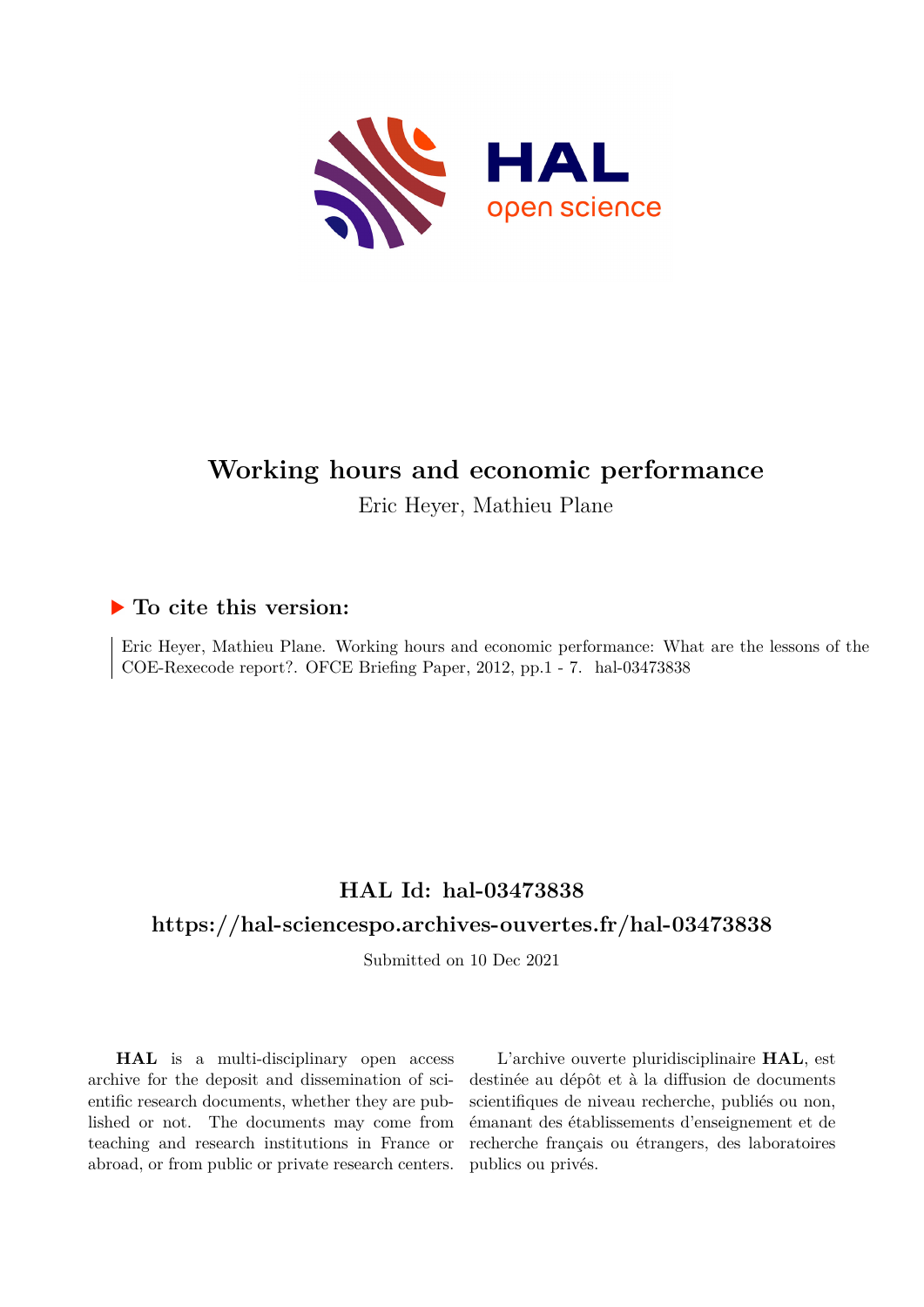

# **Working hours and economic performance**

Eric Heyer, Mathieu Plane

## **To cite this version:**

Eric Heyer, Mathieu Plane. Working hours and economic performance: What are the lessons of the COE-Rexecode report?. OFCE Briefing Paper, 2012, pp.1 - 7. hal-03473838

## **HAL Id: hal-03473838**

## **<https://hal-sciencespo.archives-ouvertes.fr/hal-03473838>**

Submitted on 10 Dec 2021

**HAL** is a multi-disciplinary open access archive for the deposit and dissemination of scientific research documents, whether they are published or not. The documents may come from teaching and research institutions in France or abroad, or from public or private research centers.

L'archive ouverte pluridisciplinaire **HAL**, est destinée au dépôt et à la diffusion de documents scientifiques de niveau recherche, publiés ou non, émanant des établissements d'enseignement et de recherche français ou étrangers, des laboratoires publics ou privés.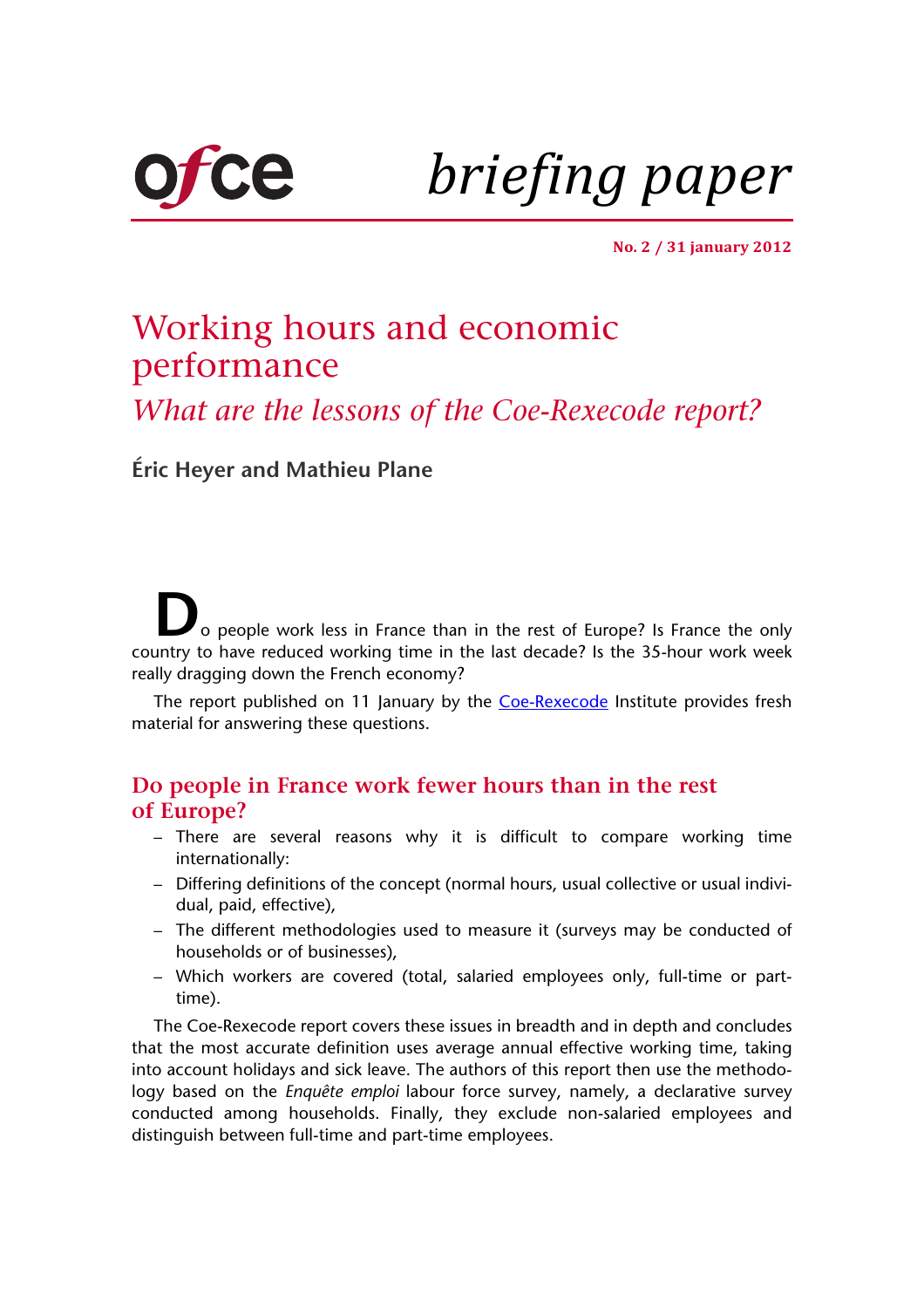

*briefing paper*

**No. 2 / 31 january 2012**

# Working hours and economic performance

*What are the lessons of the Coe-Rexecode report?*

**[Éric Heyer and](http://www.ofce.sciences-po.fr/pages-chercheurs/heyer.htm) [Mathieu Plane](http://www.ofce.sciences-po.fr/pages-chercheurs/plane.htm)**

o people work less in France than in the rest of Europe? Is France the only country to have reduced working time in the last decade? Is the 35-hour work week really dragging down the French economy?

The report published on 11 January by the Coe-Rexecode Institute provides fresh material for answering these questions.

## **Do people in France work fewer hours than in the rest of Europe?**

- There are several reasons why it is difficult to compare working time internationally:
- Differing definitions of the concept (normal hours, usual collective or usual individual, paid, effective),
- The different methodologies used to measure it (surveys may be conducted of households or of businesses),
- Which workers are covered (total, salaried employees only, full-time or parttime).

The Coe-Rexecode report covers these issues in breadth and in depth and concludes that the most accurate definition uses average annual effective working time, taking into account holidays and sick leave. The authors of this report then use the methodology based on the *Enquête emploi* labour force survey, namely, a declarative survey conducted among households. Finally, they exclude non-salaried employees and distinguish between full-time and part-time employees.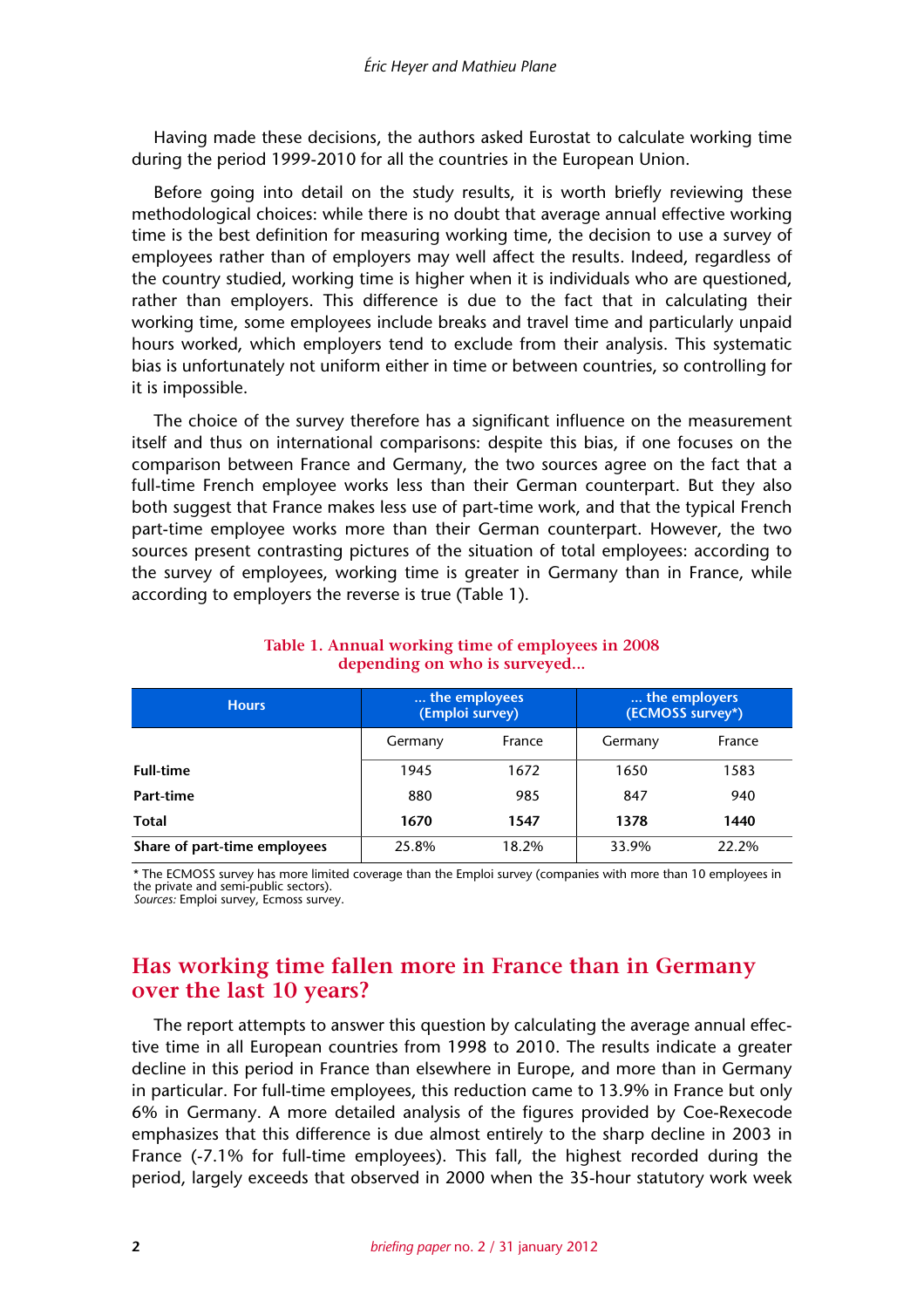Having made these decisions, the authors asked Eurostat to calculate working time during the period 1999-2010 for all the countries in the European Union.

Before going into detail on the study results, it is worth briefly reviewing these methodological choices: while there is no doubt that average annual effective working time is the best definition for measuring working time, the decision to use a survey of employees rather than of employers may well affect the results. Indeed, regardless of the country studied, working time is higher when it is individuals who are questioned, rather than employers. This difference is due to the fact that in calculating their working time, some employees include breaks and travel time and particularly unpaid hours worked, which employers tend to exclude from their analysis. This systematic bias is unfortunately not uniform either in time or between countries, so controlling for it is impossible.

The choice of the survey therefore has a significant influence on the measurement itself and thus on international comparisons: despite this bias, if one focuses on the comparison between France and Germany, the two sources agree on the fact that a full-time French employee works less than their German counterpart. But they also both suggest that France makes less use of part-time work, and that the typical French part-time employee works more than their German counterpart. However, the two sources present contrasting pictures of the situation of total employees: according to the survey of employees, working time is greater in Germany than in France, while according to employers the reverse is true (Table 1).

| <b>Hours</b>                 | the employees<br>(Emploi survey) |        | the employers<br>(ECMOSS survey*) |        |
|------------------------------|----------------------------------|--------|-----------------------------------|--------|
|                              | Germany                          | France | Germany                           | France |
| <b>Full-time</b>             | 1945                             | 1672   | 1650                              | 1583   |
| Part-time                    | 880                              | 985    | 847                               | 940    |
| Total                        | 1670                             | 1547   | 1378                              | 1440   |
| Share of part-time employees | 25.8%                            | 18.2%  | 33.9%                             | 22.2%  |

#### **Table 1. Annual working time of employees in 2008 depending on who is surveyed...**

\* The ECMOSS survey has more limited coverage than the Emploi survey (companies with more than 10 employees in the private and semi-public sectors).

Sources: Emploi survey, Ecmoss survey.

## **Has working time fallen more in France than in Germany over the last 10 years?**

The report attempts to answer this question by calculating the average annual effective time in all European countries from 1998 to 2010. The results indicate a greater decline in this period in France than elsewhere in Europe, and more than in Germany in particular. For full-time employees, this reduction came to 13.9% in France but only 6% in Germany. A more detailed analysis of the figures provided by Coe-Rexecode emphasizes that this difference is due almost entirely to the sharp decline in 2003 in France (-7.1% for full-time employees). This fall, the highest recorded during the period, largely exceeds that observed in 2000 when the 35-hour statutory work week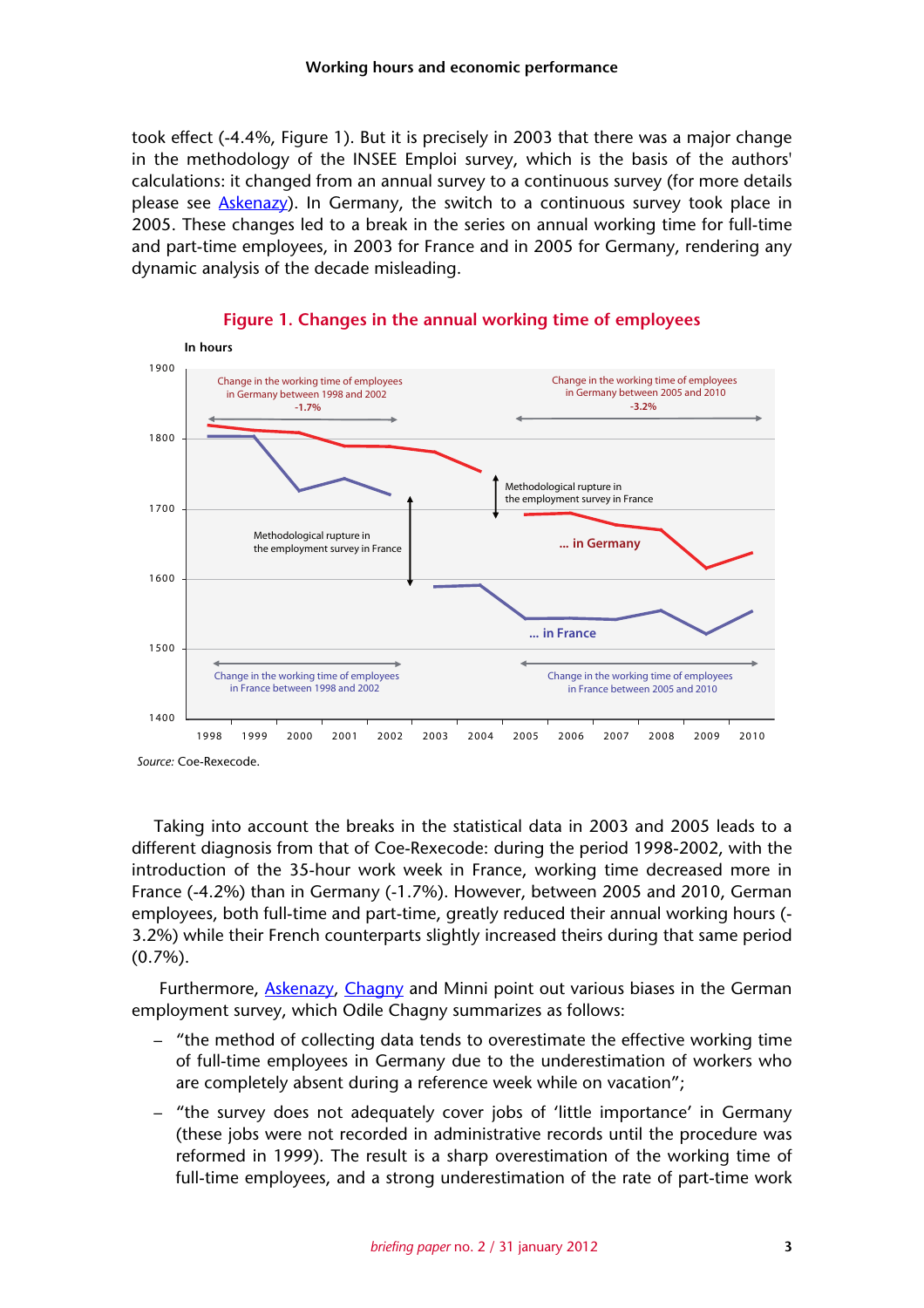took effect (-4.4%, Figure 1). But it is precisely in 2003 that there was a major change in the methodology of the INSEE Emploi survey, which is the basis of the authors' calculations: it changed from an annual survey to a continuous survey (for more details please see Askenazy). In Germany, the switch to a continuous survey took place in 2005. These changes led to a break in the series on annual working time for full-time and part-time employees, in 2003 for France and in 2005 for Germany, rendering any dynamic analysis of the decade misleading.



**Figure 1. Changes in the annual working time of employees**

Taking into account the breaks in the statistical data in 2003 and 2005 leads to a different diagnosis from that of Coe-Rexecode: during the period 1998-2002, with the introduction of the 35-hour work week in France, working time decreased more in France (-4.2%) than in Germany (-1.7%). However, between 2005 and 2010, German employees, both full-time and part-time, greatly reduced their annual working hours (- 3.2%) while their French counterparts slightly increased theirs during that same period (0.7%).

Furthermore, Askenazy, Chagny and Minni point out various biases in the German employment survey, which Odile Chagny summarizes as follows:

- "the method of collecting data tends to overestimate the effective working time of full-time employees in Germany due to the underestimation of workers who are completely absent during a reference week while on vacation";
- "the survey does not adequately cover jobs of 'little importance' in Germany (these jobs were not recorded in administrative records until the procedure was reformed in 1999). The result is a sharp overestimation of the working time of full-time employees, and a strong underestimation of the rate of part-time work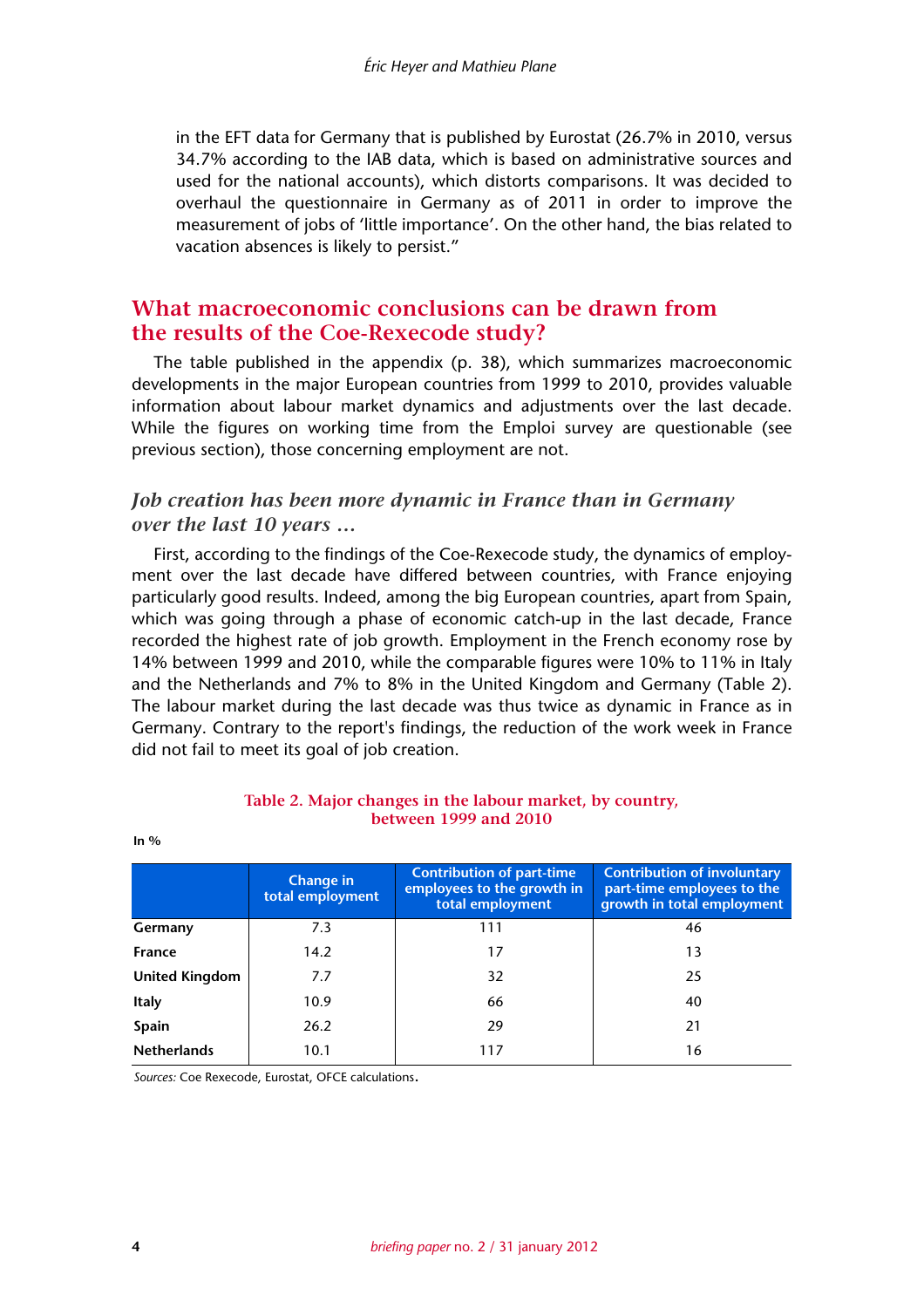in the EFT data for Germany that is published by Eurostat (26.7% in 2010, versus 34.7% according to the IAB data, which is based on administrative sources and used for the national accounts), which distorts comparisons. It was decided to overhaul the questionnaire in Germany as of 2011 in order to improve the measurement of jobs of 'little importance'. On the other hand, the bias related to vacation absences is likely to persist."

## **What macroeconomic conclusions can be drawn from the results of the Coe-Rexecode study?**

The table published in the appendix (p. 38), which summarizes macroeconomic developments in the major European countries from 1999 to 2010, provides valuable information about labour market dynamics and adjustments over the last decade. While the figures on working time from the Emploi survey are questionable (see previous section), those concerning employment are not.

### *Job creation has been more dynamic in France than in Germany over the last 10 years …*

First, according to the findings of the Coe-Rexecode study, the dynamics of employment over the last decade have differed between countries, with France enjoying particularly good results. Indeed, among the big European countries, apart from Spain, which was going through a phase of economic catch-up in the last decade, France recorded the highest rate of job growth. Employment in the French economy rose by 14% between 1999 and 2010, while the comparable figures were 10% to 11% in Italy and the Netherlands and 7% to 8% in the United Kingdom and Germany (Table 2). The labour market during the last decade was thus twice as dynamic in France as in Germany. Contrary to the report's findings, the reduction of the work week in France did not fail to meet its goal of job creation.

|                    | <b>Change in</b><br>total employment | <b>Contribution of part-time</b><br>employees to the growth in<br>total employment | <b>Contribution of involuntary</b><br>part-time employees to the<br>growth in total employment |
|--------------------|--------------------------------------|------------------------------------------------------------------------------------|------------------------------------------------------------------------------------------------|
| Germany            | 7.3                                  | 111                                                                                | 46                                                                                             |
| France             | 14.2                                 | 17                                                                                 | 13                                                                                             |
| United Kingdom     | 7.7                                  | 32                                                                                 | 25                                                                                             |
| <b>Italy</b>       | 10.9                                 | 66                                                                                 | 40                                                                                             |
| Spain              | 26.2                                 | 29                                                                                 | 21                                                                                             |
| <b>Netherlands</b> | 10.1                                 | 117                                                                                | 16                                                                                             |

#### **Table 2. Major changes in the labour market, by country, between 1999 and 2010**

*Sources:* Coe Rexecode, Eurostat, OFCE calculations.

**In %**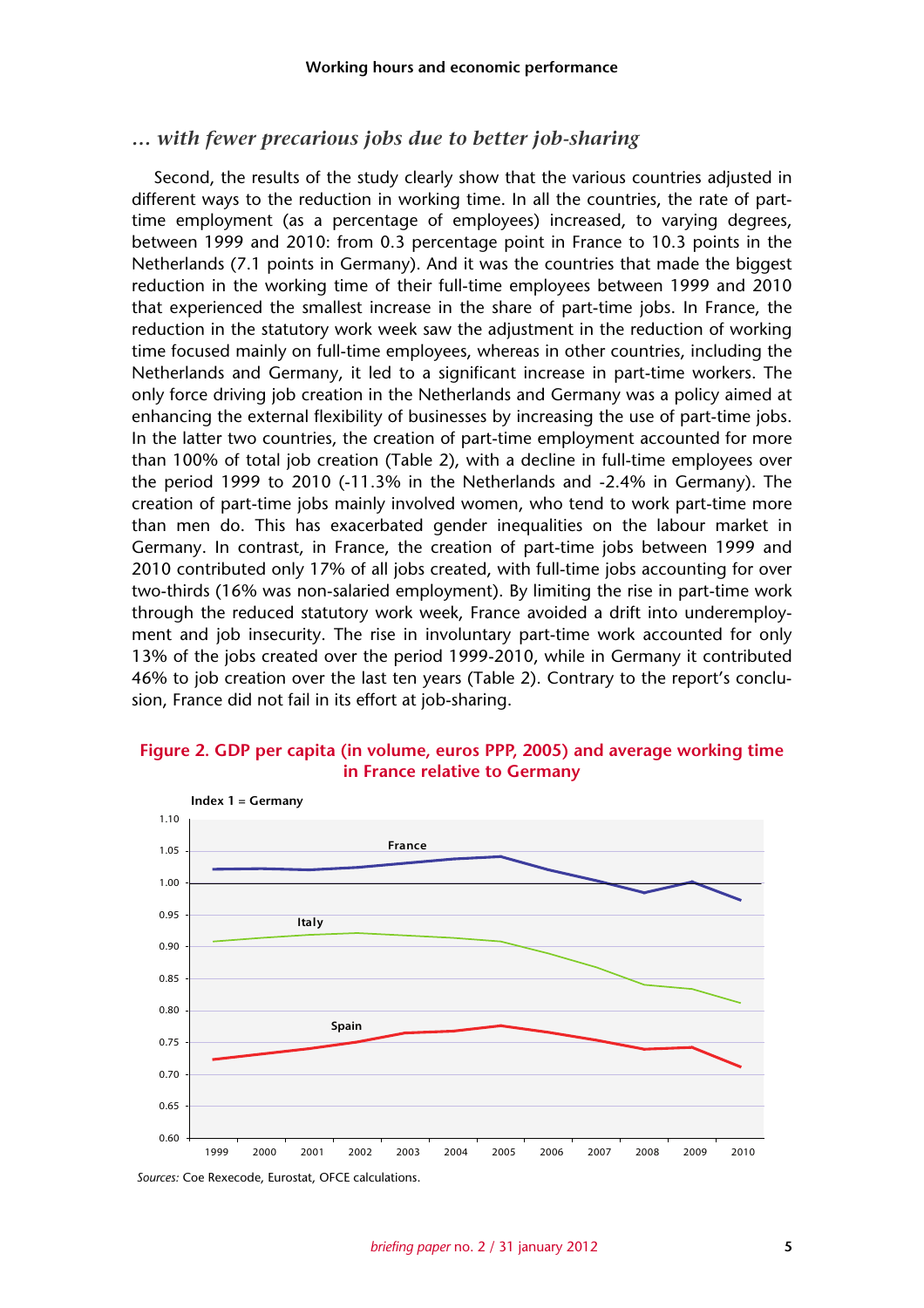#### *… with fewer precarious jobs due to better job-sharing*

Second, the results of the study clearly show that the various countries adjusted in different ways to the reduction in working time. In all the countries, the rate of parttime employment (as a percentage of employees) increased, to varying degrees, between 1999 and 2010: from 0.3 percentage point in France to 10.3 points in the Netherlands (7.1 points in Germany). And it was the countries that made the biggest reduction in the working time of their full-time employees between 1999 and 2010 that experienced the smallest increase in the share of part-time jobs. In France, the reduction in the statutory work week saw the adjustment in the reduction of working time focused mainly on full-time employees, whereas in other countries, including the Netherlands and Germany, it led to a significant increase in part-time workers. The only force driving job creation in the Netherlands and Germany was a policy aimed at enhancing the external flexibility of businesses by increasing the use of part-time jobs. In the latter two countries, the creation of part-time employment accounted for more than 100% of total job creation (Table 2), with a decline in full-time employees over the period 1999 to 2010 (-11.3% in the Netherlands and -2.4% in Germany). The creation of part-time jobs mainly involved women, who tend to work part-time more than men do. This has exacerbated gender inequalities on the labour market in Germany. In contrast, in France, the creation of part-time jobs between 1999 and 2010 contributed only 17% of all jobs created, with full-time jobs accounting for over two-thirds (16% was non-salaried employment). By limiting the rise in part-time work through the reduced statutory work week, France avoided a drift into underemployment and job insecurity. The rise in involuntary part-time work accounted for only 13% of the jobs created over the period 1999-2010, while in Germany it contributed 46% to job creation over the last ten years (Table 2). Contrary to the report's conclusion, France did not fail in its effort at job-sharing.

#### **Figure 2. GDP per capita (in volume, euros PPP, 2005) and average working time in France relative to Germany**



*Sources:* Coe Rexecode, Eurostat, OFCE calculations.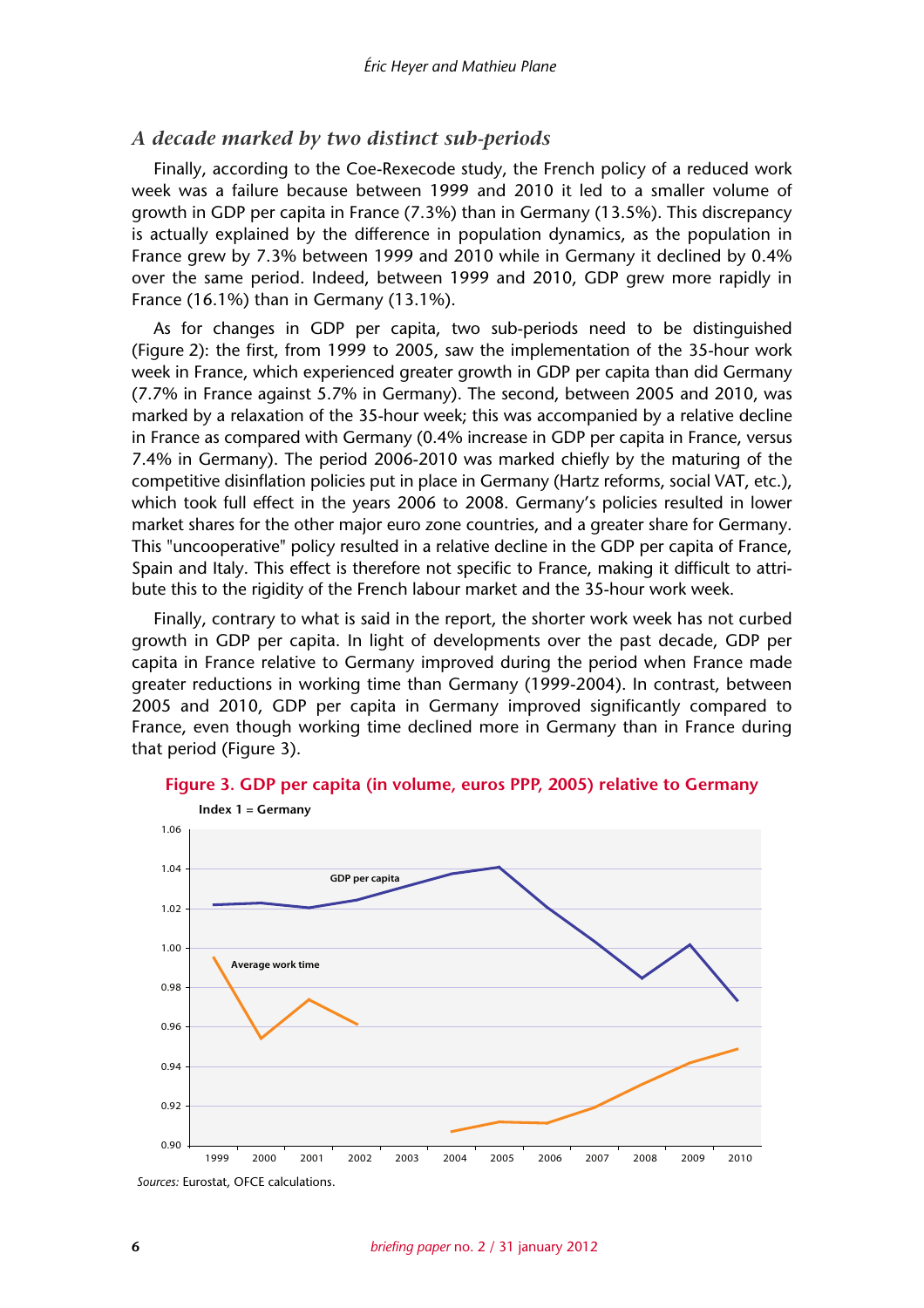#### *A decade marked by two distinct sub-periods*

Finally, according to the Coe-Rexecode study, the French policy of a reduced work week was a failure because between 1999 and 2010 it led to a smaller volume of growth in GDP per capita in France (7.3%) than in Germany (13.5%). This discrepancy is actually explained by the difference in population dynamics, as the population in France grew by 7.3% between 1999 and 2010 while in Germany it declined by 0.4% over the same period. Indeed, between 1999 and 2010, GDP grew more rapidly in France (16.1%) than in Germany (13.1%).

As for changes in GDP per capita, two sub-periods need to be distinguished (Figure 2): the first, from 1999 to 2005, saw the implementation of the 35-hour work week in France, which experienced greater growth in GDP per capita than did Germany (7.7% in France against 5.7% in Germany). The second, between 2005 and 2010, was marked by a relaxation of the 35-hour week; this was accompanied by a relative decline in France as compared with Germany (0.4% increase in GDP per capita in France, versus 7.4% in Germany). The period 2006-2010 was marked chiefly by the maturing of the competitive disinflation policies put in place in Germany (Hartz reforms, social VAT, etc.), which took full effect in the years 2006 to 2008. Germany's policies resulted in lower market shares for the other major euro zone countries, and a greater share for Germany. This "uncooperative" policy resulted in a relative decline in the GDP per capita of France, Spain and Italy. This effect is therefore not specific to France, making it difficult to attribute this to the rigidity of the French labour market and the 35-hour work week.

Finally, contrary to what is said in the report, the shorter work week has not curbed growth in GDP per capita. In light of developments over the past decade, GDP per capita in France relative to Germany improved during the period when France made greater reductions in working time than Germany (1999-2004). In contrast, between 2005 and 2010, GDP per capita in Germany improved significantly compared to France, even though working time declined more in Germany than in France during that period (Figure 3).



**Figure 3. GDP per capita (in volume, euros PPP, 2005) relative to Germany**